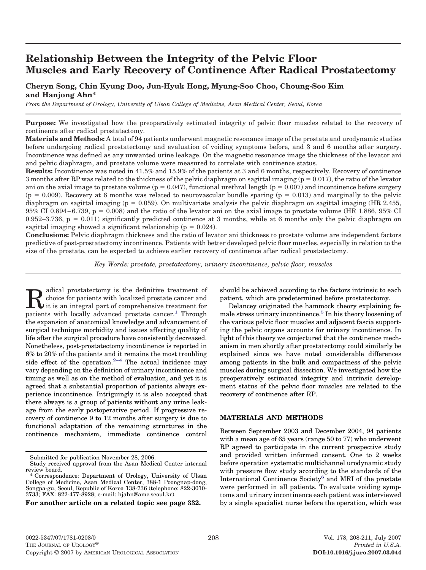# **Relationship Between the Integrity of the Pelvic Floor Muscles and Early Recovery of Continence After Radical Prostatectomy**

# **Cheryn Song, Chin Kyung Doo, Jun-Hyuk Hong, Myung-Soo Choo, Choung-Soo Kim and Hanjong Ahn\***

*From the Department of Urology, University of Ulsan College of Medicine, Asan Medical Center, Seoul, Korea*

**Purpose:** We investigated how the preoperatively estimated integrity of pelvic floor muscles related to the recovery of continence after radical prostatectomy.

**Materials and Methods:** A total of 94 patients underwent magnetic resonance image of the prostate and urodynamic studies before undergoing radical prostatectomy and evaluation of voiding symptoms before, and 3 and 6 months after surgery. Incontinence was defined as any unwanted urine leakage. On the magnetic resonance image the thickness of the levator ani and pelvic diaphragm, and prostate volume were measured to correlate with continence status.

**Results:** Incontinence was noted in 41.5% and 15.9% of the patients at 3 and 6 months, respectively. Recovery of continence 3 months after RP was related to the thickness of the pelvic diaphragm on sagittal imaging  $(p = 0.017)$ , the ratio of the levator ani on the axial image to prostate volume ( $p = 0.047$ ), functional urethral length ( $p = 0.007$ ) and incontinence before surgery  $(p = 0.009)$ . Recovery at 6 months was related to neurovascular bundle sparing  $(p = 0.013)$  and marginally to the pelvic diaphragm on sagittal imaging ( $p = 0.059$ ). On multivariate analysis the pelvic diaphragm on sagittal imaging (HR 2.455,  $95\%$  CI 0.894–6.739, p = 0.008) and the ratio of the levator ani on the axial image to prostate volume (HR 1.886, 95% CI 0.952–3.736,  $p = 0.011$ ) significantly predicted continence at 3 months, while at 6 months only the pelvic diaphragm on sagittal imaging showed a significant relationship ( $p = 0.024$ ).

**Conclusions:** Pelvic diaphragm thickness and the ratio of levator ani thickness to prostate volume are independent factors predictive of post-prostatectomy incontinence. Patients with better developed pelvic floor muscles, especially in relation to the size of the prostate, can be expected to achieve earlier recovery of continence after radical prostatectomy.

*Key Words: prostate, prostatectomy, urinary incontinence, pelvic floor, muscles*

Radical prostatectomy is the definitive treatment of<br>the choice for patients with localized prostate cancer and<br>it is an integral part of comprehensive treatment for<br>nationts with locally educated prostate expect 1 Through choice for patients with localized prostate cancer and patients with locally advanced prostate cancer.<sup>1</sup> Through the expansion of anatomical knowledge and advancement of surgical technique morbidity and issues affecting quality of life after the surgical procedure have consistently decreased. Nonetheless, post-prostatectomy incontinence is reported in 6% to 20% of the patients and it remains the most troubling side effect of the operation.<sup>2-4</sup> The actual incidence may vary depending on the definition of urinary incontinence and timing as well as on the method of evaluation, and yet it is agreed that a substantial proportion of patients always experience incontinence. Intriguingly it is also accepted that there always is a group of patients without any urine leakage from the early postoperative period. If progressive recovery of continence 9 to 12 months after surgery is due to functional adaptation of the remaining structures in the continence mechanism, immediate continence control

**For another article on a related topic see page 332.**

should be achieved according to the factors intrinsic to each patient, which are predetermined before prostatectomy.

Delancey originated the hammock theory explaining female stress urinary incontinence[.5](#page-3-0) In his theory loosening of the various pelvic floor muscles and adjacent fascia supporting the pelvic organs accounts for urinary incontinence. In light of this theory we conjectured that the continence mechanism in men shortly after prostatectomy could similarly be explained since we have noted considerable differences among patients in the bulk and compactness of the pelvic muscles during surgical dissection. We investigated how the preoperatively estimated integrity and intrinsic development status of the pelvic floor muscles are related to the recovery of continence after RP.

# **MATERIALS AND METHODS**

Between September 2003 and December 2004, 94 patients with a mean age of 65 years (range 50 to 77) who underwent RP agreed to participate in the current prospective study and provided written informed consent. One to 2 weeks before operation systematic multichannel urodynamic study with pressure flow study according to the standards of the International Continence Societ[y6](#page-3-0) and MRI of the prostate were performed in all patients. To evaluate voiding symptoms and urinary incontinence each patient was interviewed by a single specialist nurse before the operation, which was

Submitted for publication November 28, 2006.

Study received approval from the Asan Medical Center internal review board.

<sup>\*</sup> Correspondence: Department of Urology, University of Ulsan College of Medicine, Asan Medical Center, 388-1 Poongnap-dong, Songpa-gu, Seoul, Republic of Korea 138-736 (telephone: 822-3010-3733; FAX: 822-477-8928; e-mail: hjahn@amc.seoul.kr).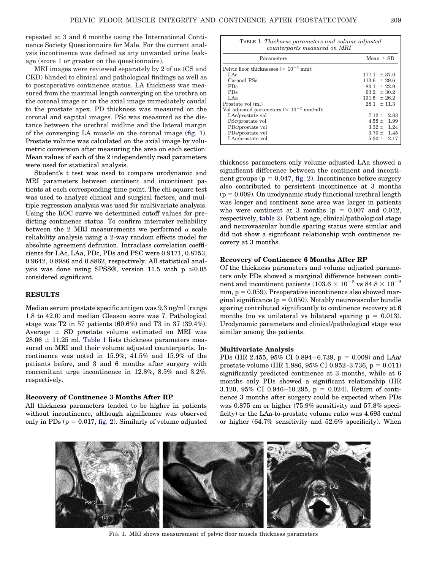repeated at 3 and 6 months using the International Continence Society Questionnaire for Male. For the current analysis incontinence was defined as any unwanted urine leakage (score 1 or greater on the questionnaire).

MRI images were reviewed separately by 2 of us (CS and CKD) blinded to clinical and pathological findings as well as to postoperative continence status. LA thickness was measured from the maximal length converging on the urethra on the coronal image or on the axial image immediately caudal to the prostate apex. PD thickness was measured on the coronal and sagittal images. PSc was measured as the distance between the urethral midline and the lateral margin of the converging LA muscle on the coronal image (fig. 1). Prostate volume was calculated on the axial image by volumetric conversion after measuring the area on each section. Mean values of each of the 2 independently read parameters were used for statistical analysis.

Student's t test was used to compare urodynamic and MRI parameters between continent and incontinent patients at each corresponding time point. The chi-square test was used to analyze clinical and surgical factors, and multiple regression analysis was used for multivariate analysis. Using the ROC curve we determined cutoff values for predicting continence status. To confirm interrater reliability between the 2 MRI measurements we performed  $\alpha$  scale reliability analysis using a 2-way random effects model for absolute agreement definition. Intraclass correlation coefficients for LAc, LAa, PDc, PDs and PSC were 0.9171, 0.8753, 0.9642, 0.8986 and 0.8862, respectively. All statistical analysis was done using SPSS®, version 11.5 with  $p \le 0.05$ considered significant.

#### **RESULTS**

Median serum prostate specific antigen was 9.3 ng/ml (range 1.8 to 42.0) and median Gleason score was 7. Pathological stage was T2 in 57 patients (60.6%) and T3 in 37 (39.4%).  $A$ verage  $\pm$  SD prostate volume estimated on MRI was  $28.06 \pm 11.25$  ml. Table 1 lists thickness parameters measured on MRI and their volume adjusted counterparts. Incontinence was noted in 15.9%, 41.5% and 15.9% of the patients before, and 3 and 6 months after surgery with concomitant urge incontinence in 12.8%, 8.5% and 3.2%, respectively.

#### **Recovery of Continence 3 Months After RP**

All thickness parameters tended to be higher in patients without incontinence, although significance was observed only in PDs  $(p = 0.017, fig. 2)$  $(p = 0.017, fig. 2)$ . Similarly of volume adjusted

| TABLE 1. Thickness parameters and volume adjusted<br>counterparts measured on MRI |                  |  |  |  |
|-----------------------------------------------------------------------------------|------------------|--|--|--|
| Parameters                                                                        | Mean $\pm$ SD    |  |  |  |
| Pelvic floor thicknesses $(\times 10^{-2}$ mm):                                   |                  |  |  |  |
| LAc                                                                               | $177.1 \pm 37.0$ |  |  |  |
| Coronal PSc                                                                       | $113.6 \pm 29.6$ |  |  |  |
| PD <sub>c</sub>                                                                   | $83.1 \pm 22.9$  |  |  |  |
| <b>PDs</b>                                                                        | $93.2 \pm 30.2$  |  |  |  |
| LA <sub>a</sub>                                                                   | $131.5 \pm 26.2$ |  |  |  |
| Prostate vol (ml)                                                                 | $28.1 \pm 11.3$  |  |  |  |
| Vol adjusted parameters $(\times 10^{-2}$ mm/ml):                                 |                  |  |  |  |
| LAc/prostate vol                                                                  | $7.12 \pm 2.83$  |  |  |  |
| PSc/prostate vol                                                                  | $4.58 \pm 1.99$  |  |  |  |
| PDc/prostate vol                                                                  | $3.32 \pm 1.24$  |  |  |  |
| PDs/prostate vol                                                                  | $3.70 \pm 1.45$  |  |  |  |
| LAa/prostate vol                                                                  | $5.30 \pm 2.17$  |  |  |  |

thickness parameters only volume adjusted LAa showed a significant difference between the continent and incontinent groups ( $p = 0.047$ , [fig. 2\)](#page-2-0). Incontinence before surgery also contributed to persistent incontinence at 3 months  $(p = 0.009)$ . On urodynamic study functional urethral length was longer and continent zone area was larger in patients who were continent at 3 months  $(p = 0.007$  and 0.012, respectively, [table 2\)](#page-2-0). Patient age, clinical/pathological stage and neurovascular bundle sparing status were similar and did not show a significant relationship with continence recovery at 3 months.

## **Recovery of Continence 6 Months After RP**

Of the thickness parameters and volume adjusted parameters only PDs showed a marginal difference between continent and incontinent patients ( $103.6 \times 10^{-2}$  vs  $84.8 \times 10^{-2}$  $mm, p = 0.059$ ). Preoperative incontinence also showed marginal significance  $(p = 0.050)$ . Notably neurovascular bundle sparing contributed significantly to continence recovery at 6 months (no vs unilateral vs bilateral sparing  $p = 0.013$ ). Urodynamic parameters and clinical/pathological stage was similar among the patients.

#### **Multivariate Analysis**

PDs (HR 2.455, 95% CI 0.894-6.739, p = 0.008) and LAa/ prostate volume (HR 1.886, 95% CI 0.952–3.736,  $p = 0.011$ ) significantly predicted continence at 3 months, while at 6 months only PDs showed a significant relationship (HR 3.120, 95% CI 0.946-10.295,  $p = 0.024$ ). Return of continence 3 months after surgery could be expected when PDs was 0.875 cm or higher (75.9% sensitivity and 57.8% specificity) or the LAa-to-prostate volume ratio was 4.693 cm/ml or higher (64.7% sensitivity and 52.6% specificity). When



FIG. 1. MRI shows measurement of pelvic floor muscle thickness parameters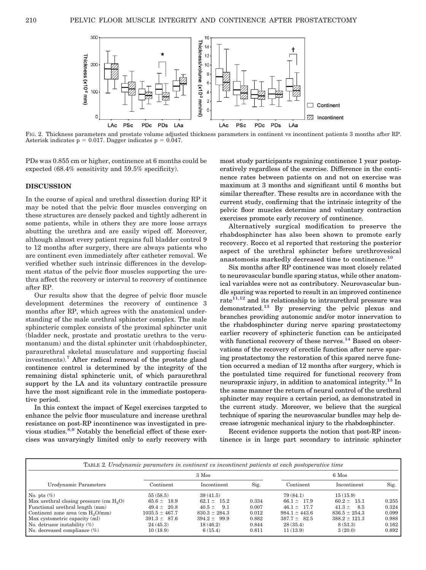<span id="page-2-0"></span>

FIG. 2. Thickness parameters and prostate volume adjusted thickness parameters in continent vs incontinent patients 3 months after RP. Asterisk indicates  $p = 0.017$ . Dagger indicates  $p = 0.047$ .

PDs was 0.855 cm or higher, continence at 6 months could be expected (68.4% sensitivity and 59.5% specificity).

#### **DISCUSSION**

In the course of apical and urethral dissection during RP it may be noted that the pelvic floor muscles converging on these structures are densely packed and tightly adherent in some patients, while in others they are more loose arrays abutting the urethra and are easily wiped off. Moreover, although almost every patient regains full bladder control 9 to 12 months after surgery, there are always patients who are continent even immediately after catheter removal. We verified whether such intrinsic differences in the development status of the pelvic floor muscles supporting the urethra affect the recovery or interval to recovery of continence after RP.

Our results show that the degree of pelvic floor muscle development determines the recovery of continence 3 months after RP, which agrees with the anatomical understanding of the male urethral sphincter complex. The male sphincteric complex consists of the proximal sphincter unit (bladder neck, prostate and prostatic urethra to the verumontanum) and the distal sphincter unit (rhabdosphincter, paraurethral skeletal musculature and supporting fascial investments)[.7](#page-3-0) After radical removal of the prostate gland continence control is determined by the integrity of the remaining distal sphincteric unit, of which paraurethral support by the LA and its voluntary contractile pressure have the most significant role in the immediate postoperative period.

In this context the impact of Kegel exercises targeted to enhance the pelvic floor musculature and increase urethral resistance on post-RP incontinence was investigated in previous studies.<sup>8,9</sup> Notably the beneficial effect of these exercises was unvaryingly limited only to early recovery with

most study participants regaining continence 1 year postoperatively regardless of the exercise. Difference in the continence rates between patients on and not on exercise was maximum at 3 months and significant until 6 months but similar thereafter. These results are in accordance with the current study, confirming that the intrinsic integrity of the pelvic floor muscles determine and voluntary contraction exercises promote early recovery of continence.

Alternatively surgical modification to preserve the rhabdosphincter has also been shown to promote early recovery. Rocco et al reported that restoring the posterior aspect of the urethral sphincter before urethrovesical anastomosis markedly decreased time to continence.<sup>[10](#page-3-0)</sup>

Six months after RP continence was most closely related to neurovascular bundle sparing status, while other anatomical variables were not as contributory. Neurovascular bundle sparing was reported to result in an improved continence rate<sup>11,12</sup> and its relationship to intraurethral pressure was demonstrated[.13](#page-3-0) By preserving the pelvic plexus and branches providing autonomic and/or motor innervation to the rhabdosphincter during nerve sparing prostatectomy earlier recovery of sphincteric function can be anticipated with functional recovery of these nerves.<sup>14</sup> Based on observations of the recovery of erectile function after nerve sparing prostatectomy the restoration of this spared nerve function occurred a median of 12 months after surgery, which is the postulated time required for functional recovery from neuropraxic injury, in addition to anatomical integrity.<sup>13</sup> In the same manner the return of neural control of the urethral sphincter may require a certain period, as demonstrated in the current study. Moreover, we believe that the surgical technique of sparing the neurovascular bundles may help decrease iatrogenic mechanical injury to the rhabdosphincter.

Recent evidence supports the notion that post-RP incontinence is in large part secondary to intrinsic sphincter

| Urodynamic Parameters                              | $3$ Mos            |                   |       | 6 Mos             |                   |       |
|----------------------------------------------------|--------------------|-------------------|-------|-------------------|-------------------|-------|
|                                                    | Continent          | Incontinent       | Sig.  | Continent         | Incontinent       | Sig.  |
| No. pts $(\%)$                                     | 55(58.5)           | 39(41.5)          |       | 79(84.1)          | 15(15.9)          |       |
| Max urethral closing pressure (cm $H_2O$ )         | $65.6 \pm 18.9$    | $62.1 \pm 15.2$   | 0.334 | $66.1 \pm 17.9$   | $60.2 \pm 15.1$   | 0.255 |
| Functional urethral length (mm)                    | $49.4 \pm 20.8$    | $40.5 \pm$<br>9.1 | 0.007 | $46.1 \pm 17.7$   | $41.3 \pm$<br>8.5 | 0.324 |
| Continent zone area $\text{(cm H}_{2}\text{O/mm})$ | $1035.5 \pm 467.7$ | $830.3 \pm 284.3$ | 0.012 | $984.1 \pm 443.6$ | $836.5 \pm 254.3$ | 0.099 |
| Max cystometric capacity (ml)                      | $391.3 \pm 87.6$   | $394.2 \pm 99.9$  | 0.882 | $387.7 \pm 82.5$  | $388.2 \pm 121.3$ | 0.988 |
| No. detrusor instability $(\%)$                    | 24(45.3)           | 18(46.2)          | 0.844 | 28(35.4)          | 8(53.3)           | 0.162 |
| No. decreased compliance $(\%)$                    | 10(18.9)           | 6(15.4)           | 0.811 | 11(13.9)          | 3(20.0)           | 0.892 |